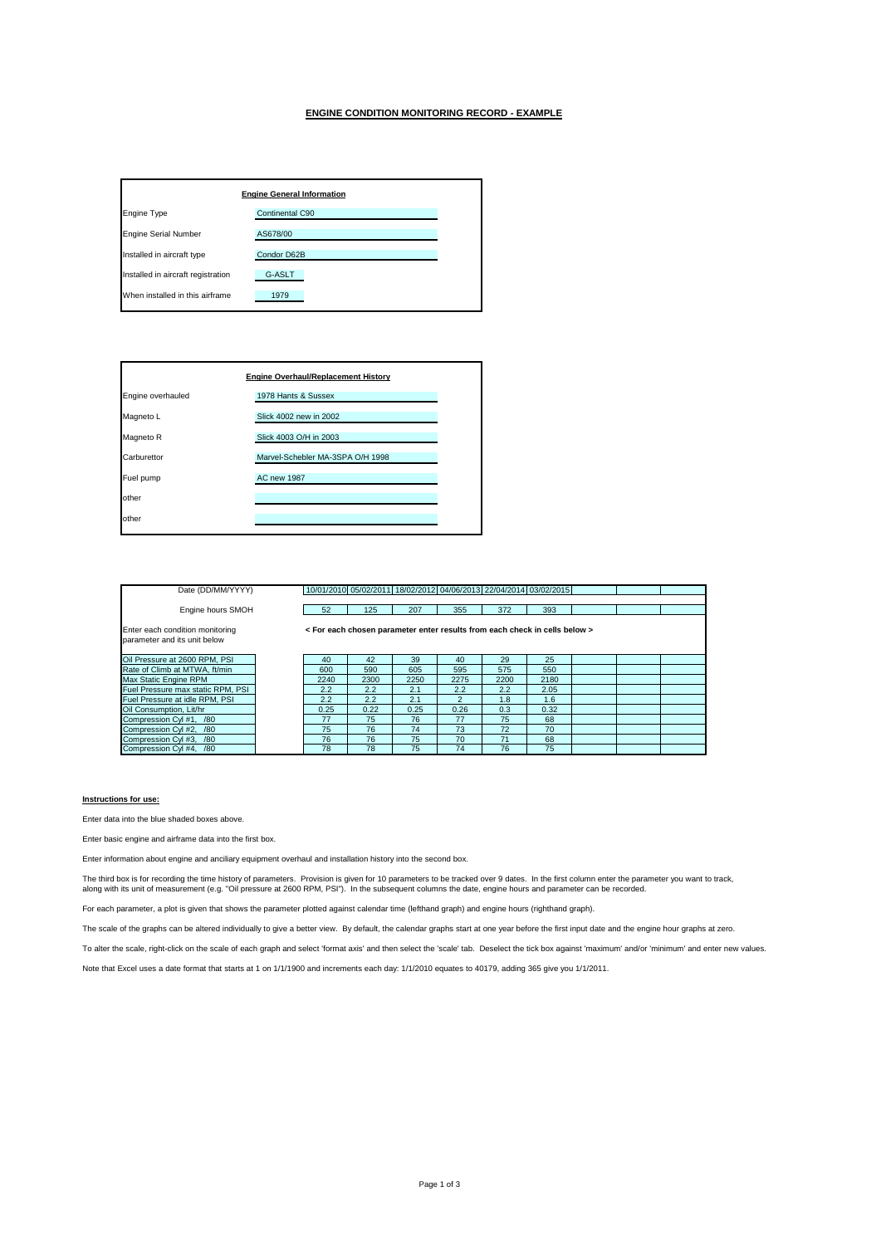## **ENGINE CONDITION MONITORING RECORD - EXAMPLE**

| <b>Engine General Information</b>  |                 |  |  |  |  |  |  |
|------------------------------------|-----------------|--|--|--|--|--|--|
| <b>Engine Type</b>                 | Continental C90 |  |  |  |  |  |  |
| <b>Engine Serial Number</b>        | AS678/00        |  |  |  |  |  |  |
| Installed in aircraft type         | Condor D62B     |  |  |  |  |  |  |
| Installed in aircraft registration | G-ASLT          |  |  |  |  |  |  |
| When installed in this airframe    | 1979            |  |  |  |  |  |  |

| <b>Engine Overhaul/Replacement History</b> |                                  |  |  |  |  |  |  |
|--------------------------------------------|----------------------------------|--|--|--|--|--|--|
| Engine overhauled                          | 1978 Hants & Sussex              |  |  |  |  |  |  |
| Magneto L                                  | Slick 4002 new in 2002           |  |  |  |  |  |  |
| Magneto R                                  | Slick 4003 O/H in 2003           |  |  |  |  |  |  |
| Carburettor                                | Marvel-Schebler MA-3SPA O/H 1998 |  |  |  |  |  |  |
| Fuel pump                                  | <b>AC new 1987</b>               |  |  |  |  |  |  |
| other                                      |                                  |  |  |  |  |  |  |
| other                                      |                                  |  |  |  |  |  |  |
|                                            |                                  |  |  |  |  |  |  |

| Date (DD/MM/YYYY)                                               |      |      |      | 10/01/2010 05/02/2011 18/02/2012 04/06/2013 22/04/2014 03/02/2015          |      |      |  |  |
|-----------------------------------------------------------------|------|------|------|----------------------------------------------------------------------------|------|------|--|--|
|                                                                 |      |      |      |                                                                            |      |      |  |  |
| Engine hours SMOH                                               | 52   | 125  | 207  | 355                                                                        | 372  | 393  |  |  |
| Enter each condition monitoring<br>parameter and its unit below |      |      |      | < For each chosen parameter enter results from each check in cells below > |      |      |  |  |
| Oil Pressure at 2600 RPM, PSI                                   | 40   | 42   | 39   | 40                                                                         | 29   | 25   |  |  |
| Rate of Climb at MTWA, ft/min                                   | 600  | 590  | 605  | 595                                                                        | 575  | 550  |  |  |
| Max Static Engine RPM                                           | 2240 | 2300 | 2250 | 2275                                                                       | 2200 | 2180 |  |  |
| Fuel Pressure max static RPM, PSI                               | 2.2  | 2.2  | 2.1  | 2.2                                                                        | 2.2  | 2.05 |  |  |
| Fuel Pressure at idle RPM, PSI                                  | 2.2  | 2.2  | 2.1  | $\overline{2}$                                                             | 1.8  | 1.6  |  |  |
| Oil Consumption, Lit/hr                                         | 0.25 | 0.22 | 0.25 | 0.26                                                                       | 0.3  | 0.32 |  |  |
| Compression CvI #1. /80                                         | 77   | 75   | 76   | 77                                                                         | 75   | 68   |  |  |
| Compression Cyl #2, /80                                         | 75   | 76   | 74   | 73                                                                         | 72   | 70   |  |  |
| Compression Cyl #3, /80                                         | 76   | 76   | 75   | 70                                                                         | 71   | 68   |  |  |
| Compression Cyl #4, /80                                         | 78   | 78   | 75   | 74                                                                         | 76   | 75   |  |  |

## **Instructions for use:**

Enter data into the blue shaded boxes above.

Enter basic engine and airframe data into the first box.

Enter information about engine and anciliary equipment overhaul and installation history into the second box.

The third box is for recording the time history of parameters. Provision is given for 10 parameters to be tracked over 9 dates. In the first column enter the parameter you want to track,<br>along with its unit of measurement

For each parameter, a plot is given that shows the parameter plotted against calendar time (lefthand graph) and engine hours (righthand graph).

The scale of the graphs can be altered individually to give a better view. By default, the calendar graphs start at one year before the first input date and the engine hour graphs at zero.

To alter the scale, right-click on the scale of each graph and select 'format axis' and then select the 'scale' tab. Deselect the tick box against 'maximum' and/or 'minimum' and enter new values.

Note that Excel uses a date format that starts at 1 on 1/1/1900 and increments each day: 1/1/2010 equates to 40179, adding 365 give you 1/1/2011.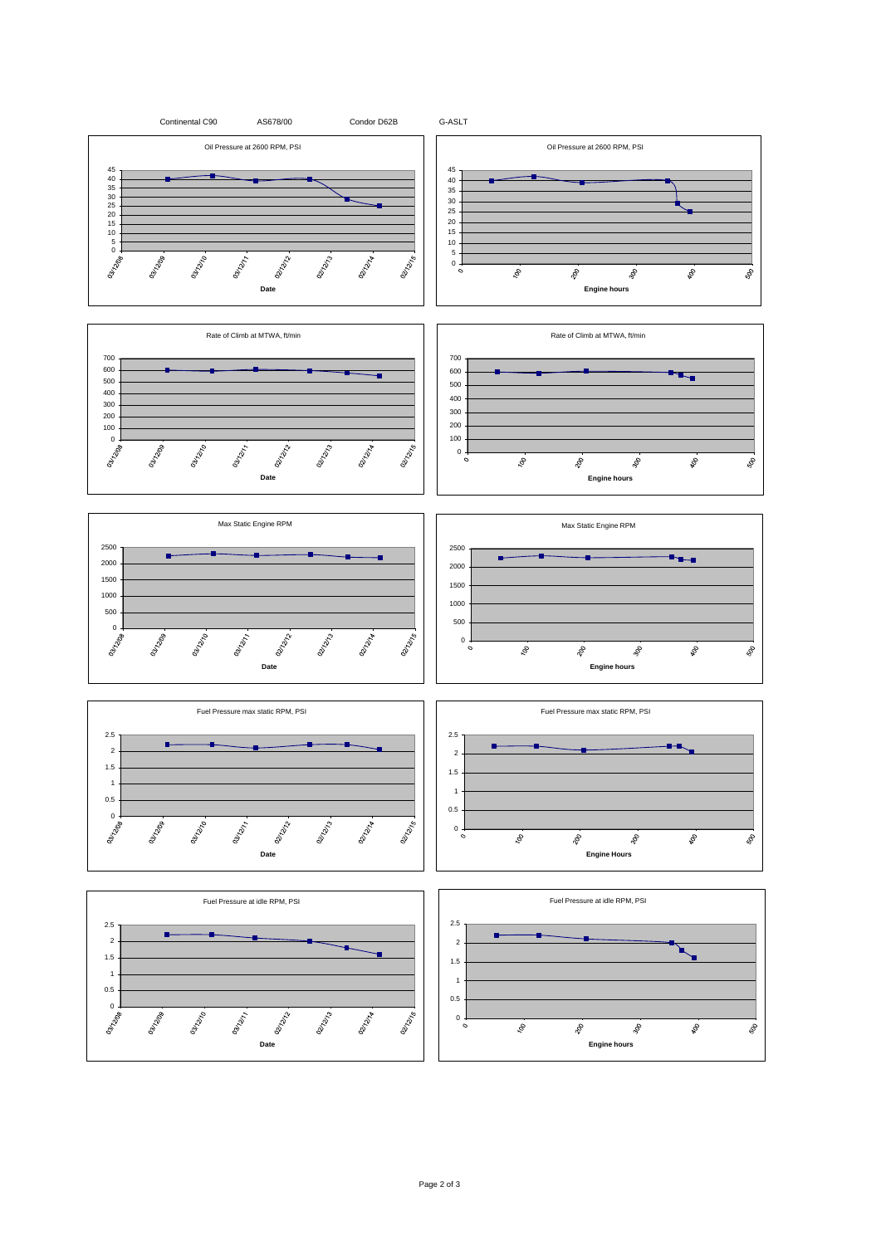